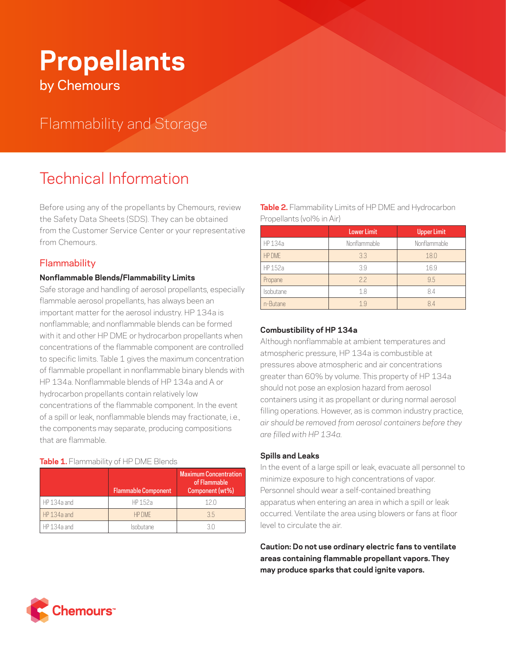# **Propellants** by Chemours

## Flammability and Storage

# Technical Information

Before using any of the propellants by Chemours, review the Safety Data Sheets (SDS). They can be obtained from the Customer Service Center or your representative from Chemours.

### **Flammability**

#### **Nonflammable Blends/Flammability Limits**

Safe storage and handling of aerosol propellants, especially flammable aerosol propellants, has always been an important matter for the aerosol industry. HP 134a is nonflammable; and nonflammable blends can be formed with it and other HP DME or hydrocarbon propellants when concentrations of the flammable component are controlled to specific limits. Table 1 gives the maximum concentration of flammable propellant in nonflammable binary blends with HP 134a. Nonflammable blends of HP 134a and A or hydrocarbon propellants contain relatively low concentrations of the flammable component. In the event of a spill or leak, nonflammable blends may fractionate, i.e., the components may separate, producing compositions that are flammable.

#### **Table 1.** Flammability of HP DME Blends

|             | <b>Flammable Component</b> | <b>Maximum Concentration</b><br>of Flammable<br>Component (wt%) |
|-------------|----------------------------|-----------------------------------------------------------------|
| HP 134a and | HP 152a                    | 12 N                                                            |
| HP 134a and | <b>HP DMF</b>              | 35                                                              |
| HP 134a and | Isobutane                  |                                                                 |

**Table 2.** Flammability Limits of HP DME and Hydrocarbon Propellants (vol% in Air)

|               | <b>Lower Limit</b> | <b>Upper Limit</b> |
|---------------|--------------------|--------------------|
| HP 134a       | Nonflammable       | Nonflammable       |
| <b>HP DME</b> | 3.3                | 18.0               |
| HP 152a       | 39                 | 16.9               |
| Propane       | 22                 | 9.5                |
| Isobutane     | 1.8                | 8.4                |
| n-Butane      | 19                 | 84                 |

#### **Combustibility of HP 134a**

Although nonflammable at ambient temperatures and atmospheric pressure, HP 134a is combustible at pressures above atmospheric and air concentrations greater than 60% by volume. This property of HP 134a should not pose an explosion hazard from aerosol containers using it as propellant or during normal aerosol filling operations. However, as is common industry practice, *air should be removed from aerosol containers before they are filled with HP 134a.*

#### **Spills and Leaks**

In the event of a large spill or leak, evacuate all personnel to minimize exposure to high concentrations of vapor. Personnel should wear a self-contained breathing apparatus when entering an area in which a spill or leak occurred. Ventilate the area using blowers or fans at floor level to circulate the air.

**Caution: Do not use ordinary electric fans to ventilate areas containing flammable propellant vapors. They may produce sparks that could ignite vapors.**

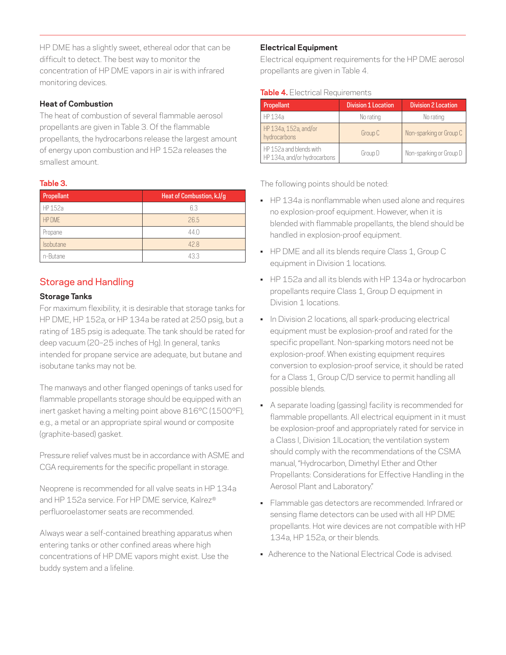HP DME has a slightly sweet, ethereal odor that can be difficult to detect. The best way to monitor the concentration of HP DME vapors in air is with infrared monitoring devices.

#### **Heat of Combustion**

The heat of combustion of several flammable aerosol propellants are given in Table 3. Of the flammable propellants, the hydrocarbons release the largest amount of energy upon combustion and HP 152a releases the smallest amount.

#### **Table 3.**

| Propellant       | Heat of Combustion, kJ/g |
|------------------|--------------------------|
| HP 152a          | 63                       |
| HP DME           | 26.5                     |
| Propane          | 44.0                     |
| <b>Isobutane</b> | 428                      |
| n-Butane         | 433                      |

### Storage and Handling

#### **Storage Tanks**

For maximum flexibility, it is desirable that storage tanks for HP DME, HP 152a, or HP 134a be rated at 250 psig, but a rating of 185 psig is adequate. The tank should be rated for deep vacuum (20–25 inches of Hg). In general, tanks intended for propane service are adequate, but butane and isobutane tanks may not be.

The manways and other flanged openings of tanks used for flammable propellants storage should be equipped with an inert gasket having a melting point above 816°C (1500°F), e.g., a metal or an appropriate spiral wound or composite (graphite-based) gasket.

Pressure relief valves must be in accordance with ASME and CGA requirements for the specific propellant in storage.

Neoprene is recommended for all valve seats in HP 134a and HP 152a service. For HP DME service, Kalrez® perfluoroelastomer seats are recommended.

Always wear a self-contained breathing apparatus when entering tanks or other confined areas where high concentrations of HP DME vapors might exist. Use the buddy system and a lifeline.

#### **Electrical Equipment**

Electrical equipment requirements for the HP DME aerosol propellants are given in Table 4.

#### **Table 4.** Electrical Requirements

| Propellant                                              | <b>Division 1 Location</b> | <b>Division 2 Location</b> |
|---------------------------------------------------------|----------------------------|----------------------------|
| HP 134a                                                 | No rating                  | No rating                  |
| HP 134a, 152a, and/or<br>hydrocarbons                   | Group C                    | Non-sparking or Group C    |
| HP 152a and blends with<br>HP 134a, and/or hydrocarbons | Group D                    | Non-sparking or Group D    |

The following points should be noted:

- HP 134a is nonflammable when used alone and requires no explosion-proof equipment. However, when it is blended with flammable propellants, the blend should be handled in explosion-proof equipment.
- HP DME and all its blends require Class 1, Group C equipment in Division 1 locations.
- HP 152a and all its blends with HP 134a or hydrocarbon propellants require Class 1, Group D equipment in Division 1 locations.
- In Division 2 locations, all spark-producing electrical equipment must be explosion-proof and rated for the specific propellant. Non-sparking motors need not be explosion-proof. When existing equipment requires conversion to explosion-proof service, it should be rated for a Class 1, Group C/D service to permit handling all possible blends.
- A separate loading (gassing) facility is recommended for flammable propellants. All electrical equipment in it must be explosion-proof and appropriately rated for service in a Class I, Division 1lLocation; the ventilation system should comply with the recommendations of the CSMA manual, "Hydrocarbon, Dimethyl Ether and Other Propellants: Considerations for Effective Handling in the Aerosol Plant and Laboratory."
- Flammable gas detectors are recommended. Infrared or sensing flame detectors can be used with all HP DME propellants. Hot wire devices are not compatible with HP 134a, HP 152a, or their blends.
- Adherence to the National Electrical Code is advised.